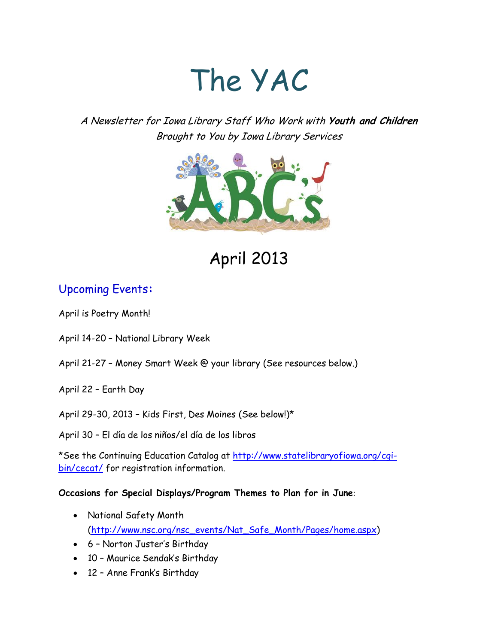# The YAC

A Newsletter for Iowa Library Staff Who Work with **Youth and Children** Brought to You by Iowa Library Services



April 2013

# Upcoming Events**:**

April is Poetry Month!

- April 14-20 National Library Week
- April 21-27 Money Smart Week @ your library (See resources below.)
- April 22 Earth Day

April 29-30, 2013 – Kids First, Des Moines (See below!)\*

April 30 – El día de los niños/el día de los libros

\*See the Continuing Education Catalog at [http://www.statelibraryofiowa.org/cgi](http://www.statelibraryofiowa.org/cgi-bin/cecat/)[bin/cecat/](http://www.statelibraryofiowa.org/cgi-bin/cecat/) for registration information.

**Occasions for Special Displays/Program Themes to Plan for in June**:

- National Safety Month [\(http://www.nsc.org/nsc\\_events/Nat\\_Safe\\_Month/Pages/home.aspx\)](http://www.nsc.org/nsc_events/Nat_Safe_Month/Pages/home.aspx)
- 6 Norton Juster's Birthday
- 10 Maurice Sendak's Birthday
- 12 Anne Frank's Birthday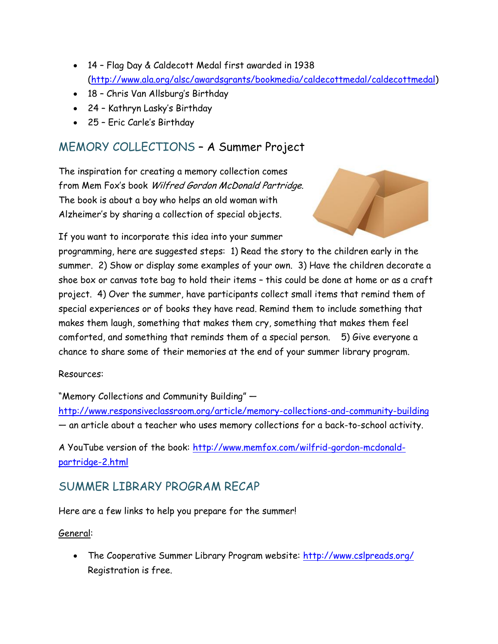- 14 Flag Day & Caldecott Medal first awarded in 1938 [\(http://www.ala.org/alsc/awardsgrants/bookmedia/caldecottmedal/caldecottmedal\)](http://www.ala.org/alsc/awardsgrants/bookmedia/caldecottmedal/caldecottmedal)
- 18 Chris Van Allsburg's Birthday
- 24 Kathryn Lasky's Birthday
- 25 Eric Carle's Birthday

## MEMORY COLLECTIONS – A Summer Project

The inspiration for creating a memory collection comes from Mem Fox's book Wilfred Gordon McDonald Partridge. The book is about a boy who helps an old woman with Alzheimer's by sharing a collection of special objects.



If you want to incorporate this idea into your summer

programming, here are suggested steps: 1) Read the story to the children early in the summer. 2) Show or display some examples of your own. 3) Have the children decorate a shoe box or canvas tote bag to hold their items – this could be done at home or as a craft project. 4) Over the summer, have participants collect small items that remind them of special experiences or of books they have read. Remind them to include something that makes them laugh, something that makes them cry, something that makes them feel comforted, and something that reminds them of a special person. 5) Give everyone a chance to share some of their memories at the end of your summer library program.

### Resources:

"Memory Collections and Community Building" —

<http://www.responsiveclassroom.org/article/memory-collections-and-community-building> — an article about a teacher who uses memory collections for a back-to-school activity.

A YouTube version of the book: [http://www.memfox.com/wilfrid-gordon-mcdonald](http://www.memfox.com/wilfrid-gordon-mcdonald-partridge-2.html)[partridge-2.html](http://www.memfox.com/wilfrid-gordon-mcdonald-partridge-2.html)

## SUMMER LIBRARY PROGRAM RECAP

Here are a few links to help you prepare for the summer!

### General:

 The Cooperative Summer Library Program website:<http://www.cslpreads.org/> Registration is free.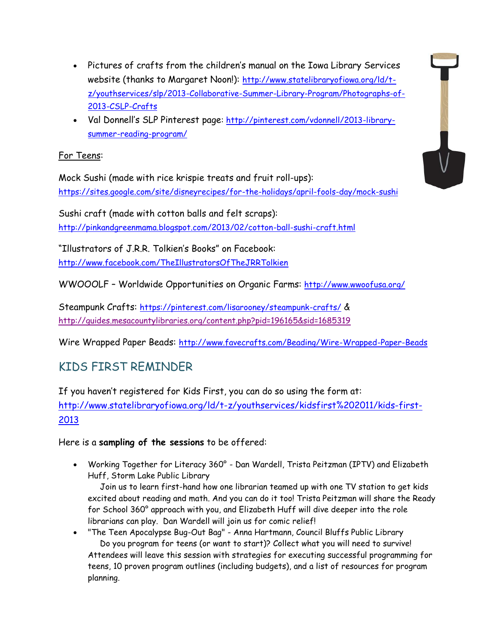- Pictures of crafts from the children's manual on the Iowa Library Services website (thanks to Margaret Noon!): [http://www.statelibraryofiowa.org/ld/t](http://www.statelibraryofiowa.org/ld/t-z/youthservices/slp/2013-Collaborative-Summer-Library-Program/Photographs-of-2013-CSLP-Crafts)[z/youthservices/slp/2013-Collaborative-Summer-Library-Program/Photographs-of-](http://www.statelibraryofiowa.org/ld/t-z/youthservices/slp/2013-Collaborative-Summer-Library-Program/Photographs-of-2013-CSLP-Crafts)[2013-CSLP-Crafts](http://www.statelibraryofiowa.org/ld/t-z/youthservices/slp/2013-Collaborative-Summer-Library-Program/Photographs-of-2013-CSLP-Crafts)
- Val Donnell's SLP Pinterest page: [http://pinterest.com/vdonnell/2013-library](http://pinterest.com/vdonnell/2013-library-summer-reading-program/)[summer-reading-program/](http://pinterest.com/vdonnell/2013-library-summer-reading-program/)

## For Teens:

Mock Sushi (made with rice krispie treats and fruit roll-ups): <https://sites.google.com/site/disneyrecipes/for-the-holidays/april-fools-day/mock-sushi>

Sushi craft (made with cotton balls and felt scraps): <http://pinkandgreenmama.blogspot.com/2013/02/cotton-ball-sushi-craft.html>

"Illustrators of J.R.R. Tolkien's Books" on Facebook: <http://www.facebook.com/TheIllustratorsOfTheJRRTolkien>

WWOOOLF - Worldwide Opportunities on Organic Farms: <http://www.wwoofusa.org/>

Steampunk Crafts: <https://pinterest.com/lisarooney/steampunk-crafts/> & <http://guides.mesacountylibraries.org/content.php?pid=196165&sid=1685319>

Wire Wrapped Paper Beads: <http://www.favecrafts.com/Beading/Wire-Wrapped-Paper-Beads>

# KIDS FIRST REMINDER

If you haven't registered for Kids First, you can do so using the form at: [http://www.statelibraryofiowa.org/ld/t-z/youthservices/kidsfirst%202011/kids-first-](http://www.statelibraryofiowa.org/ld/t-z/youthservices/kidsfirst%202011/kids-first-2013)[2013](http://www.statelibraryofiowa.org/ld/t-z/youthservices/kidsfirst%202011/kids-first-2013)

Here is a **sampling of the sessions** to be offered:

 Working Together for Literacy 360° - Dan Wardell, Trista Peitzman (IPTV) and Elizabeth Huff, Storm Lake Public Library

 Join us to learn first-hand how one librarian teamed up with one TV station to get kids excited about reading and math. And you can do it too! Trista Peitzman will share the Ready for School 360° approach with you, and Elizabeth Huff will dive deeper into the role librarians can play. Dan Wardell will join us for comic relief!

 "The Teen Apocalypse Bug-Out Bag" - Anna Hartmann, Council Bluffs Public Library Do you program for teens (or want to start)? Collect what you will need to survive! Attendees will leave this session with strategies for executing successful programming for teens, 10 proven program outlines (including budgets), and a list of resources for program planning.

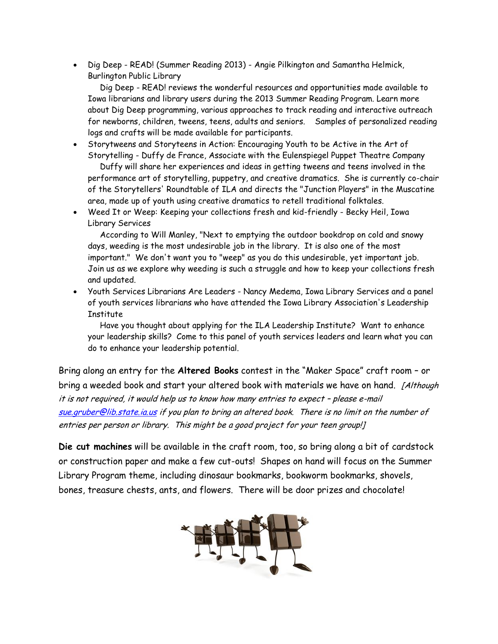• Dig Deep - READ! (Summer Reading 2013) - Angie Pilkington and Samantha Helmick, Burlington Public Library

 Dig Deep - READ! reviews the wonderful resources and opportunities made available to Iowa librarians and library users during the 2013 Summer Reading Program. Learn more about Dig Deep programming, various approaches to track reading and interactive outreach for newborns, children, tweens, teens, adults and seniors. Samples of personalized reading logs and crafts will be made available for participants.

- Storytweens and Storyteens in Action: Encouraging Youth to be Active in the Art of Storytelling - Duffy de France, Associate with the Eulenspiegel Puppet Theatre Company Duffy will share her experiences and ideas in getting tweens and teens involved in the performance art of storytelling, puppetry, and creative dramatics. She is currently co-chair of the Storytellers' Roundtable of ILA and directs the "Junction Players" in the Muscatine area, made up of youth using creative dramatics to retell traditional folktales.
- Weed It or Weep: Keeping your collections fresh and kid-friendly Becky Heil, Iowa Library Services

 According to Will Manley, "Next to emptying the outdoor bookdrop on cold and snowy days, weeding is the most undesirable job in the library. It is also one of the most important." We don't want you to "weep" as you do this undesirable, yet important job. Join us as we explore why weeding is such a struggle and how to keep your collections fresh and updated.

 Youth Services Librarians Are Leaders - Nancy Medema, Iowa Library Services and a panel of youth services librarians who have attended the Iowa Library Association's Leadership **Institute** 

 Have you thought about applying for the ILA Leadership Institute? Want to enhance your leadership skills? Come to this panel of youth services leaders and learn what you can do to enhance your leadership potential.

Bring along an entry for the **Altered Books** contest in the "Maker Space" craft room – or bring a weeded book and start your altered book with materials we have on hand. [Although it is not required, it would help us to know how many entries to expect – please e-mail [sue.gruber@lib.state.ia.us](mailto:sue.gruber@lib.state.ia.us) if you plan to bring an altered book. There is no limit on the number of entries per person or library. This might be a good project for your teen group!]

**Die cut machines** will be available in the craft room, too, so bring along a bit of cardstock or construction paper and make a few cut-outs! Shapes on hand will focus on the Summer Library Program theme, including dinosaur bookmarks, bookworm bookmarks, shovels, bones, treasure chests, ants, and flowers. There will be door prizes and chocolate!